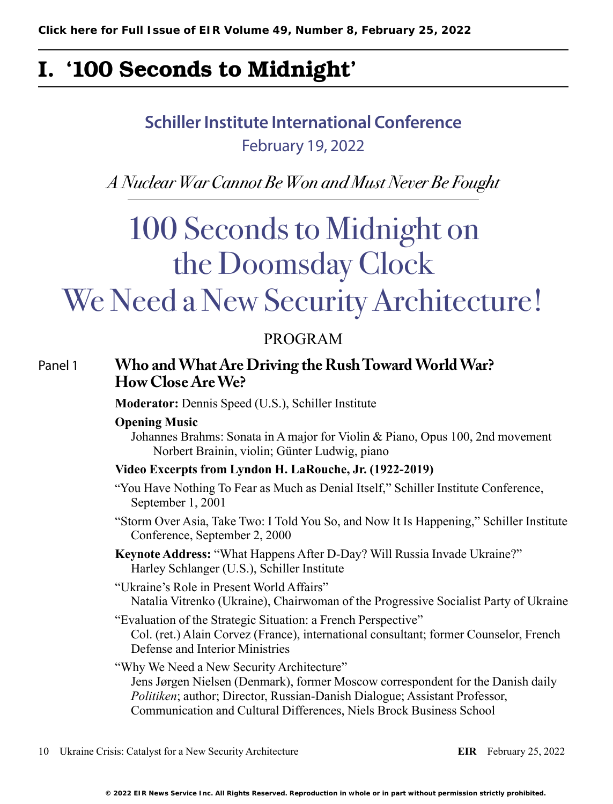## I. '100 Seconds to Midnight'

## **Schiller Institute International Conference** February 19, 2022

*A Nuclear War Cannot Be Won and Must Never Be Fought*

# 100 Seconds to Midnight on the Doomsday Clock

## We Need a New Security Architecture!

### PROGRAM

#### Panel 1 **Who and What Are Driving the Rush Toward World War? How Close Are We?**

**Moderator:** Dennis Speed (U.S.), Schiller Institute

#### **Opening Music**

Johannes Brahms: Sonata in A major for Violin & Piano, Opus 100, 2nd movement Norbert Brainin, violin; Günter Ludwig, piano

#### **Video Excerpts from Lyndon H. LaRouche, Jr. (1922-2019)**

- "You Have Nothing To Fear as Much as Denial Itself," Schiller Institute Conference, September 1, 2001
- "Storm Over Asia, Take Two: I Told You So, and Now It Is Happening," Schiller Institute Conference, September 2, 2000
- **Keynote Address:** "What Happens After D-Day? Will Russia Invade Ukraine?" Harley Schlanger (U.S.), Schiller Institute

"Ukraine's Role in Present World Affairs" Natalia Vitrenko (Ukraine), Chairwoman of the Progressive Socialist Party of Ukraine

"Evaluation of the Strategic Situation: a French Perspective" Col. (ret.) Alain Corvez (France), international consultant; former Counselor, French Defense and Interior Ministries

"Why We Need a New Security Architecture" Jens Jørgen Nielsen (Denmark), former Moscow correspondent for the Danish daily *Politiken*; author; Director, Russian-Danish Dialogue; Assistant Professor, Communication and Cultural Differences, Niels Brock Business School

10 Ukraine Crisis: Catalyst for a New Security Architecture **EIR** February 25, 2022